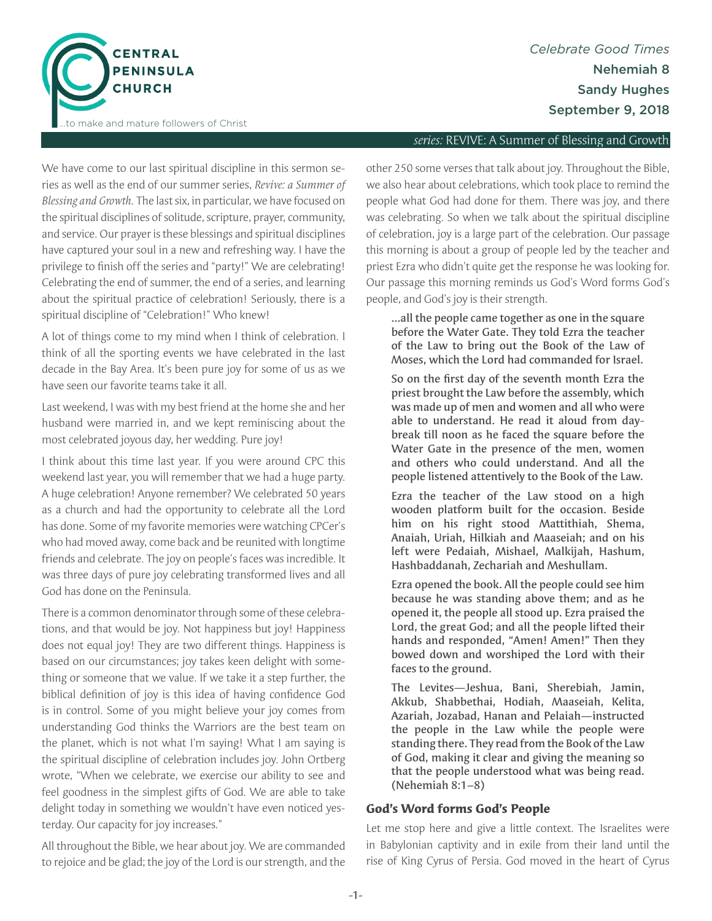

### *series:* REVIVE: A Summer of Blessing and Growth

We have come to our last spiritual discipline in this sermon series as well as the end of our summer series, *Revive: a Summer of Blessing and Growth.* The last six, in particular, we have focused on the spiritual disciplines of solitude, scripture, prayer, community, and service. Our prayer is these blessings and spiritual disciplines have captured your soul in a new and refreshing way. I have the privilege to finish off the series and "party!" We are celebrating! Celebrating the end of summer, the end of a series, and learning about the spiritual practice of celebration! Seriously, there is a spiritual discipline of "Celebration!" Who knew!

A lot of things come to my mind when I think of celebration. I think of all the sporting events we have celebrated in the last decade in the Bay Area. It's been pure joy for some of us as we have seen our favorite teams take it all.

Last weekend, I was with my best friend at the home she and her husband were married in, and we kept reminiscing about the most celebrated joyous day, her wedding. Pure joy!

I think about this time last year. If you were around CPC this weekend last year, you will remember that we had a huge party. A huge celebration! Anyone remember? We celebrated 50 years as a church and had the opportunity to celebrate all the Lord has done. Some of my favorite memories were watching CPCer's who had moved away, come back and be reunited with longtime friends and celebrate. The joy on people's faces was incredible. It was three days of pure joy celebrating transformed lives and all God has done on the Peninsula.

There is a common denominator through some of these celebrations, and that would be joy. Not happiness but joy! Happiness does not equal joy! They are two different things. Happiness is based on our circumstances; joy takes keen delight with something or someone that we value. If we take it a step further, the biblical definition of joy is this idea of having confidence God is in control. Some of you might believe your joy comes from understanding God thinks the Warriors are the best team on the planet, which is not what I'm saying! What I am saying is the spiritual discipline of celebration includes joy. John Ortberg wrote, "When we celebrate, we exercise our ability to see and feel goodness in the simplest gifts of God. We are able to take delight today in something we wouldn't have even noticed yesterday. Our capacity for joy increases."

All throughout the Bible, we hear about joy. We are commanded to rejoice and be glad; the joy of the Lord is our strength, and the

other 250 some verses that talk about joy. Throughout the Bible, we also hear about celebrations, which took place to remind the people what God had done for them. There was joy, and there was celebrating. So when we talk about the spiritual discipline of celebration, joy is a large part of the celebration. Our passage this morning is about a group of people led by the teacher and priest Ezra who didn't quite get the response he was looking for. Our passage this morning reminds us God's Word forms God's people, and God's joy is their strength.

…all the people came together as one in the square before the Water Gate. They told Ezra the teacher of the Law to bring out the Book of the Law of Moses, which the Lord had commanded for Israel.

So on the first day of the seventh month Ezra the priest brought the Law before the assembly, which was made up of men and women and all who were able to understand. He read it aloud from daybreak till noon as he faced the square before the Water Gate in the presence of the men, women and others who could understand. And all the people listened attentively to the Book of the Law.

Ezra the teacher of the Law stood on a high wooden platform built for the occasion. Beside him on his right stood Mattithiah, Shema, Anaiah, Uriah, Hilkiah and Maaseiah; and on his left were Pedaiah, Mishael, Malkijah, Hashum, Hashbaddanah, Zechariah and Meshullam.

Ezra opened the book. All the people could see him because he was standing above them; and as he opened it, the people all stood up. Ezra praised the Lord, the great God; and all the people lifted their hands and responded, "Amen! Amen!" Then they bowed down and worshiped the Lord with their faces to the ground.

The Levites—Jeshua, Bani, Sherebiah, Jamin, Akkub, Shabbethai, Hodiah, Maaseiah, Kelita, Azariah, Jozabad, Hanan and Pelaiah—instructed the people in the Law while the people were standing there. They read from the Book of the Law of God, making it clear and giving the meaning so that the people understood what was being read. (Nehemiah 8:1–8)

# **God's Word forms God's People**

Let me stop here and give a little context. The Israelites were in Babylonian captivity and in exile from their land until the rise of King Cyrus of Persia. God moved in the heart of Cyrus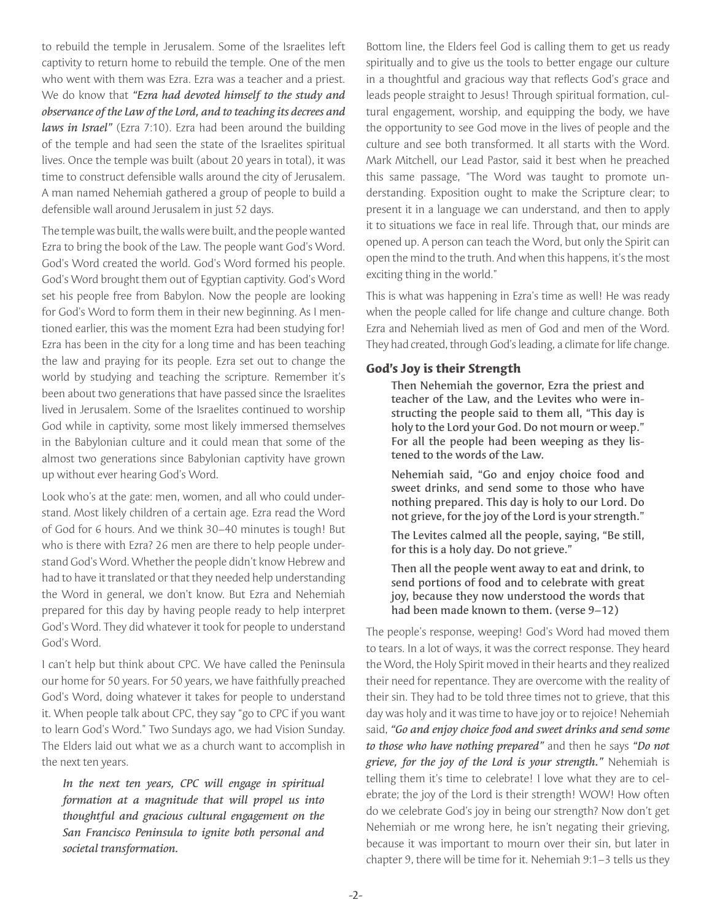to rebuild the temple in Jerusalem. Some of the Israelites left captivity to return home to rebuild the temple. One of the men who went with them was Ezra. Ezra was a teacher and a priest. We do know that *"Ezra had devoted himself to the study and observance of the Law of the Lord, and to teaching its decrees and laws in Israel"* (Ezra 7:10). Ezra had been around the building of the temple and had seen the state of the Israelites spiritual lives. Once the temple was built (about 20 years in total), it was time to construct defensible walls around the city of Jerusalem. A man named Nehemiah gathered a group of people to build a defensible wall around Jerusalem in just 52 days.

The temple was built, the walls were built, and the people wanted Ezra to bring the book of the Law. The people want God's Word. God's Word created the world. God's Word formed his people. God's Word brought them out of Egyptian captivity. God's Word set his people free from Babylon. Now the people are looking for God's Word to form them in their new beginning. As I mentioned earlier, this was the moment Ezra had been studying for! Ezra has been in the city for a long time and has been teaching the law and praying for its people. Ezra set out to change the world by studying and teaching the scripture. Remember it's been about two generations that have passed since the Israelites lived in Jerusalem. Some of the Israelites continued to worship God while in captivity, some most likely immersed themselves in the Babylonian culture and it could mean that some of the almost two generations since Babylonian captivity have grown up without ever hearing God's Word.

Look who's at the gate: men, women, and all who could understand. Most likely children of a certain age. Ezra read the Word of God for 6 hours. And we think 30–40 minutes is tough! But who is there with Ezra? 26 men are there to help people understand God's Word. Whether the people didn't know Hebrew and had to have it translated or that they needed help understanding the Word in general, we don't know. But Ezra and Nehemiah prepared for this day by having people ready to help interpret God's Word. They did whatever it took for people to understand God's Word.

I can't help but think about CPC. We have called the Peninsula our home for 50 years. For 50 years, we have faithfully preached God's Word, doing whatever it takes for people to understand it. When people talk about CPC, they say "go to CPC if you want to learn God's Word." Two Sundays ago, we had Vision Sunday. The Elders laid out what we as a church want to accomplish in the next ten years.

*In the next ten years, CPC will engage in spiritual formation at a magnitude that will propel us into thoughtful and gracious cultural engagement on the San Francisco Peninsula to ignite both personal and societal transformation.*

Bottom line, the Elders feel God is calling them to get us ready spiritually and to give us the tools to better engage our culture in a thoughtful and gracious way that reflects God's grace and leads people straight to Jesus! Through spiritual formation, cultural engagement, worship, and equipping the body, we have the opportunity to see God move in the lives of people and the culture and see both transformed. It all starts with the Word. Mark Mitchell, our Lead Pastor, said it best when he preached this same passage, "The Word was taught to promote understanding. Exposition ought to make the Scripture clear; to present it in a language we can understand, and then to apply it to situations we face in real life. Through that, our minds are opened up. A person can teach the Word, but only the Spirit can open the mind to the truth. And when this happens, it's the most exciting thing in the world."

This is what was happening in Ezra's time as well! He was ready when the people called for life change and culture change. Both Ezra and Nehemiah lived as men of God and men of the Word. They had created, through God's leading, a climate for life change.

# **God's Joy is their Strength**

Then Nehemiah the governor, Ezra the priest and teacher of the Law, and the Levites who were instructing the people said to them all, "This day is holy to the Lord your God. Do not mourn or weep." For all the people had been weeping as they listened to the words of the Law.

Nehemiah said, "Go and enjoy choice food and sweet drinks, and send some to those who have nothing prepared. This day is holy to our Lord. Do not grieve, for the joy of the Lord is your strength."

The Levites calmed all the people, saying, "Be still, for this is a holy day. Do not grieve."

Then all the people went away to eat and drink, to send portions of food and to celebrate with great joy, because they now understood the words that had been made known to them. (verse 9-12)

The people's response, weeping! God's Word had moved them to tears. In a lot of ways, it was the correct response. They heard the Word, the Holy Spirit moved in their hearts and they realized their need for repentance. They are overcome with the reality of their sin. They had to be told three times not to grieve, that this day was holy and it was time to have joy or to rejoice! Nehemiah said, *"Go and enjoy choice food and sweet drinks and send some to those who have nothing prepared"* and then he says *"Do not grieve, for the joy of the Lord is your strength."* Nehemiah is telling them it's time to celebrate! I love what they are to celebrate; the joy of the Lord is their strength! WOW! How often do we celebrate God's joy in being our strength? Now don't get Nehemiah or me wrong here, he isn't negating their grieving, because it was important to mourn over their sin, but later in chapter 9, there will be time for it. Nehemiah 9:1–3 tells us they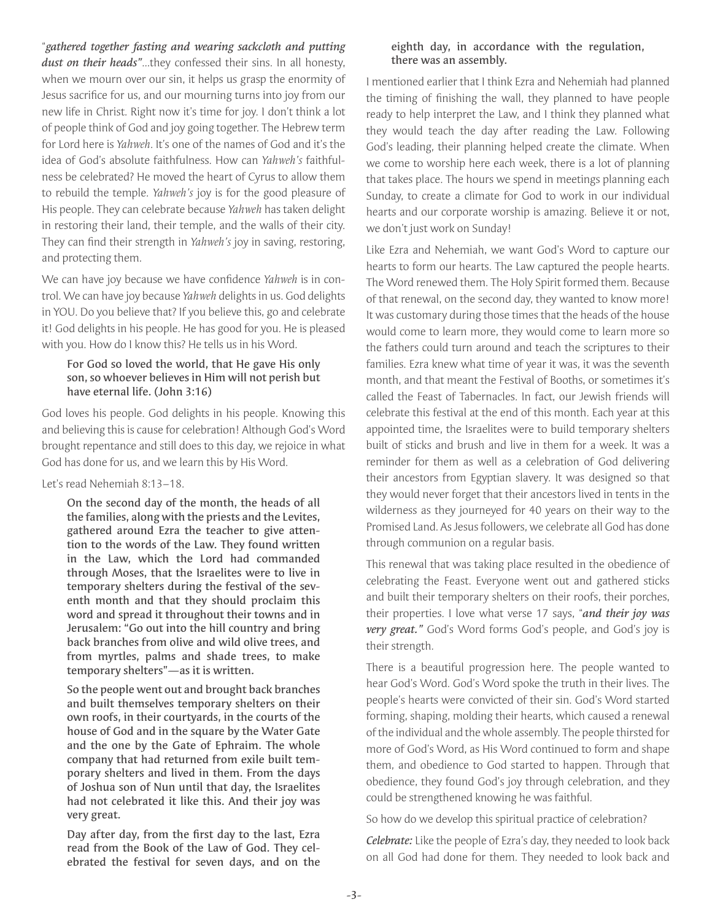"*gathered together fasting and wearing sackcloth and putting dust on their heads"*…they confessed their sins. In all honesty, when we mourn over our sin, it helps us grasp the enormity of Jesus sacrifice for us, and our mourning turns into joy from our new life in Christ. Right now it's time for joy. I don't think a lot of people think of God and joy going together. The Hebrew term for Lord here is *Yahweh*. It's one of the names of God and it's the idea of God's absolute faithfulness. How can *Yahweh's* faithfulness be celebrated? He moved the heart of Cyrus to allow them to rebuild the temple. *Yahweh's* joy is for the good pleasure of His people. They can celebrate because *Yahweh* has taken delight in restoring their land, their temple, and the walls of their city. They can find their strength in *Yahweh's* joy in saving, restoring, and protecting them.

We can have joy because we have confidence *Yahweh* is in control. We can have joy because *Yahweh* delights in us. God delights in YOU. Do you believe that? If you believe this, go and celebrate it! God delights in his people. He has good for you. He is pleased with you. How do I know this? He tells us in his Word.

#### For God so loved the world, that He gave His only son, so whoever believes in Him will not perish but have eternal life. (John 3:16)

God loves his people. God delights in his people. Knowing this and believing this is cause for celebration! Although God's Word brought repentance and still does to this day, we rejoice in what God has done for us, and we learn this by His Word.

## Let's read Nehemiah 8:13–18.

On the second day of the month, the heads of all the families, along with the priests and the Levites, gathered around Ezra the teacher to give attention to the words of the Law. They found written in the Law, which the Lord had commanded through Moses, that the Israelites were to live in temporary shelters during the festival of the seventh month and that they should proclaim this word and spread it throughout their towns and in Jerusalem: "Go out into the hill country and bring back branches from olive and wild olive trees, and from myrtles, palms and shade trees, to make temporary shelters"—as it is written.

So the people went out and brought back branches and built themselves temporary shelters on their own roofs, in their courtyards, in the courts of the house of God and in the square by the Water Gate and the one by the Gate of Ephraim. The whole company that had returned from exile built temporary shelters and lived in them. From the days of Joshua son of Nun until that day, the Israelites had not celebrated it like this. And their joy was very great.

Day after day, from the first day to the last, Ezra read from the Book of the Law of God. They celebrated the festival for seven days, and on the

## eighth day, in accordance with the regulation, there was an assembly.

I mentioned earlier that I think Ezra and Nehemiah had planned the timing of finishing the wall, they planned to have people ready to help interpret the Law, and I think they planned what they would teach the day after reading the Law. Following God's leading, their planning helped create the climate. When we come to worship here each week, there is a lot of planning that takes place. The hours we spend in meetings planning each Sunday, to create a climate for God to work in our individual hearts and our corporate worship is amazing. Believe it or not, we don't just work on Sunday!

Like Ezra and Nehemiah, we want God's Word to capture our hearts to form our hearts. The Law captured the people hearts. The Word renewed them. The Holy Spirit formed them. Because of that renewal, on the second day, they wanted to know more! It was customary during those times that the heads of the house would come to learn more, they would come to learn more so the fathers could turn around and teach the scriptures to their families. Ezra knew what time of year it was, it was the seventh month, and that meant the Festival of Booths, or sometimes it's called the Feast of Tabernacles. In fact, our Jewish friends will celebrate this festival at the end of this month. Each year at this appointed time, the Israelites were to build temporary shelters built of sticks and brush and live in them for a week. It was a reminder for them as well as a celebration of God delivering their ancestors from Egyptian slavery. It was designed so that they would never forget that their ancestors lived in tents in the wilderness as they journeyed for 40 years on their way to the Promised Land. As Jesus followers, we celebrate all God has done through communion on a regular basis.

This renewal that was taking place resulted in the obedience of celebrating the Feast. Everyone went out and gathered sticks and built their temporary shelters on their roofs, their porches, their properties. I love what verse 17 says, "*and their joy was very great."* God's Word forms God's people, and God's joy is their strength.

There is a beautiful progression here. The people wanted to hear God's Word. God's Word spoke the truth in their lives. The people's hearts were convicted of their sin. God's Word started forming, shaping, molding their hearts, which caused a renewal of the individual and the whole assembly. The people thirsted for more of God's Word, as His Word continued to form and shape them, and obedience to God started to happen. Through that obedience, they found God's joy through celebration, and they could be strengthened knowing he was faithful.

So how do we develop this spiritual practice of celebration?

*Celebrate:* Like the people of Ezra's day, they needed to look back on all God had done for them. They needed to look back and